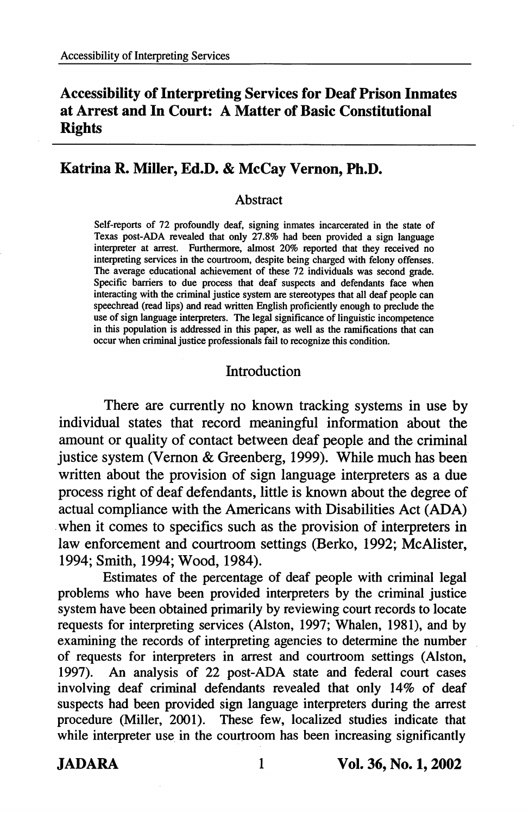# Accessibility of Interpreting Services for Deaf Prison Inmates at Arrest and In Court: A Matter of Basic Constitutional **Rights**

# Katrina R. Miller, Ed.D. & McCay Vernon, Ph.D.

#### Abstract

Self-reports of 72 profoundly deaf, signing inmates incarcerated in the state of Texas post-ADA revealed that only 27.8% had been provided a sign language interpreter at arrest. Furthermore, almost 20% reported that they received no interpreting services in the courtroom, despite being charged with felony offenses. The average educational achievement of these 72 individuals was second grade. Specific barriers to due process that deaf suspects and defendants face when interacting with the criminal justice system are stereotypes that all deaf people can speechread (read lips) and read written English proficiently enough to preclude the use of sign language interpreters. The legal significance of linguistic incompetence in this population is addressed in this paper, as well as the ramifications that can occur when criminal justice professionals fail to recognize this condition.

## Introduction

There are currently no known tracking systems in use by individual states that record meaningful information about the amount or quality of contact between deaf people and the criminal justice system (Vernon & Greenberg, 1999). While much has been written about the provision of sign language interpreters as a due process right of deaf defendants, little is known about the degree of actual compliance with the Americans with Disabilities Act (ADA) when it comes to specifics such as the provision of interpreters in law enforcement and courtroom settings (Berko, 1992; McAlister, 1994; Smith, 1994; Wood, 1984).

Estimates of the percentage of deaf people with criminal legal problems who have been provided interpreters by the criminal justice system have been obtained primarily by reviewing court records to locate requests for interpreting services (Alston, 1997; Whalen, 1981), and by examining the records of interpreting agencies to determine the number of requests for interpreters in arrest and courtroom settings (Alston, 1997). An analysis of 22 post-ADA state and federal court cases involving deaf criminal defendants revealed that only 14% of deaf suspects had been provided sign language interpreters during the arrest procedure (Miller, 2001). These few, localized studies indicate that while interpreter use in the courtroom has been increasing significantly

JADARA 1 Vol. 36, No. 1,2002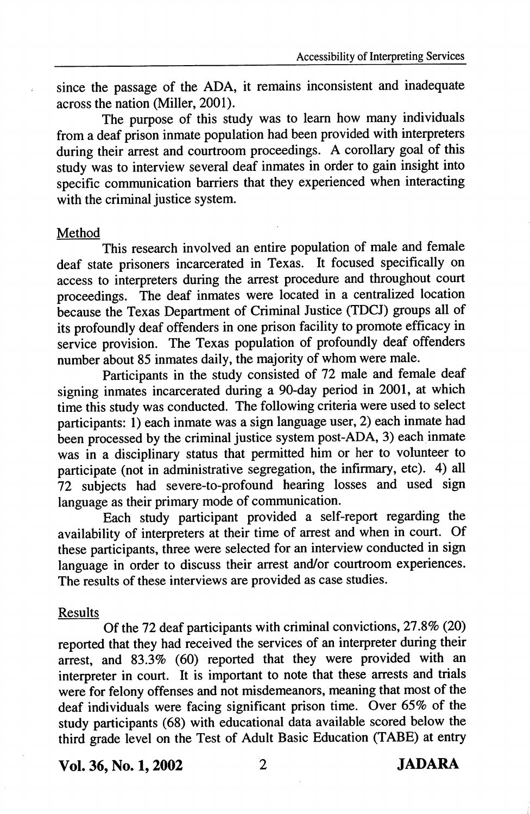since the passage of the ADA, it remains inconsistent and inadequate across the nation (Miller, 2001).

The purpose of this study was to learn how many individuals from a deaf prison inmate population had been provided with interpreters during their arrest and courtroom proceedings. A corollary goal of this study was to interview several deaf inmates in order to gain insight into specific communication barriers that they experienced when interacting with the criminal justice system.

## Method

This research involved an entire population of male and female deaf state prisoners incarcerated in Texas. It focused specifically on access to interpreters during the arrest procedure and throughout court proceedings. The deaf inmates were located in a centralized location because the Texas Department of Criminal Justice (TDCJ) groups all of its profoundly deaf offenders in one prison facility to promote efficacy in service provision. The Texas population of profoundly deaf offenders number about 85 inmates daily, the majority of whom were male.

Participants in the study consisted of 72 male and female deaf signing inmates incarcerated during a 90-day period in 2001, at which time this study was conducted. The following criteria were used to select participants: 1) each inmate was a sign language user, 2) each inmate had been processed by the criminal justice system post-ADA, 3) each inmate was in a disciplinary status that permitted him or her to volunteer to participate (not in administrative segregation, the infirmary, etc). 4) all 72 subjects had severe-to-profound hearing losses and used sign language as their primary mode of communication.

Each study participant provided a self-report regarding the availability of interpreters at their time of arrest and when in court. Of these participants, three were selected for an interview conducted in sign language in order to discuss their arrest and/or courtroom experiences. The results of these interviews are provided as case studies.

## Results

Of the 72 deaf participants with criminal convictions, 27.8% (20) reported that they had received the services of an interpreter during their arrest, and 83.3% (60) reported that they were provided with an interpreter in court. It is important to note that these arrests and trials were for felony offenses and not misdemeanors, meaning that most of the deaf individuals were facing significant prison time. Over 65% of the study participants (68) with educational data available scored below the third grade level on the Test of Adult Basic Education (TABE) at entry

Vol. 36, No. 1,2002 2 JADARA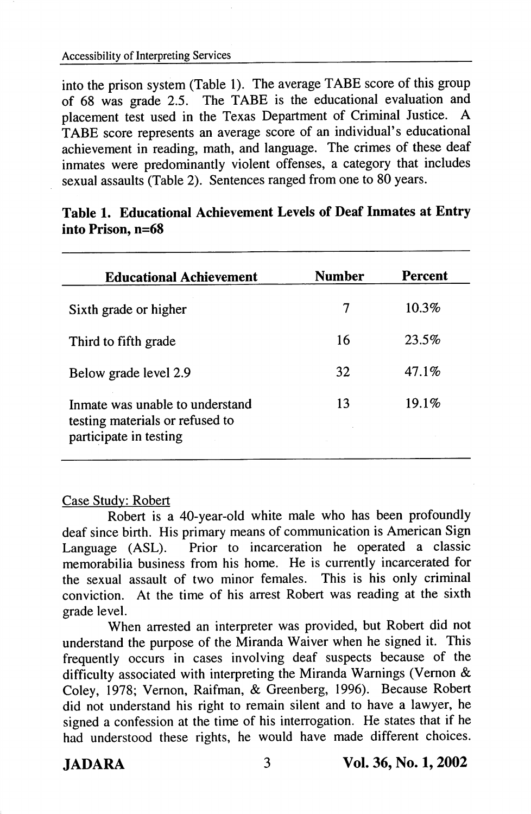into the prison system (Table 1). The average TABE score of this group of 68 was grade 2.5. The TABE is the educational evaluation and placement test used in the Texas Department of Criminal Justice. A TABE score represents an average score of an individual's educational achievement in reading, math, and language. The crimes of these deaf inmates were predominantly violent offenses, a category that includes sexual assaults (Table 2). Sentences ranged from one to 80 years.

| <b>Educational Achievement</b>                                                               | Number | <b>Percent</b> |
|----------------------------------------------------------------------------------------------|--------|----------------|
| Sixth grade or higher                                                                        | 7      | $10.3\%$       |
| Third to fifth grade                                                                         | 16     | 23.5%          |
| Below grade level 2.9                                                                        | 32     | $47.1\%$       |
| Inmate was unable to understand<br>testing materials or refused to<br>participate in testing | 13     | 19.1%          |

|                   | Table 1. Educational Achievement Levels of Deaf Inmates at Entry |  |  |  |
|-------------------|------------------------------------------------------------------|--|--|--|
| into Prison, n=68 |                                                                  |  |  |  |

## Case Studv: Robert

Robert is a 40-year-old white male who has been profoundly deaf since birth. His primary means of communication is American Sign Language (ASL). Prior to incarceration he operated a classic memorabilia business from his home. He is currently incarcerated for the sexual assault of two minor females. This is his only criminal conviction. At the time of his arrest Robert was reading at the sixth grade level.

When arrested an interpreter was provided, but Robert did not understand the purpose of the Miranda Waiver when he signed it. This frequently occurs in cases involving deaf suspects because of the difficulty associated with interpreting the Miranda Warnings (Vernon  $\&$ Coley, 1978; Vernon, Raifman, & Greenberg, 1996). Because Robert did not understand his right to remain silent and to have a lawyer, he signed a confession at the time of his interrogation. He states that if he had understood these rights, he would have made different choices.

JADARA 3 Vol. 36, No. 1,2002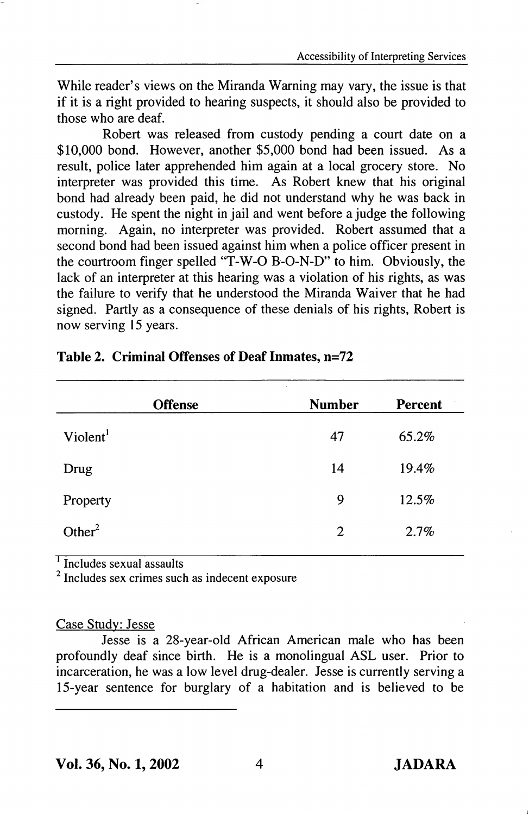While reader's views on the Miranda Warning may vary, the issue is that if it is a right provided to hearing suspects, it should also be provided to those who are deaf.

Robert was released from custody pending a court date on a \$10,000 bond. However, another \$5,000 bond had been issued. As a result, police later apprehended him again at a local grocery store. No interpreter was provided this time. As Robert knew that his original bond had already been paid, he did not understand why he was back in custody. He spent the night in jail and went before a judge the following morning. Again, no interpreter was provided. Robert assumed that a second bond had been issued against him when a police officer present in the courtroom finger spelled "T-W-0 B-O-N-D" to him. Obviously, the lack of an interpreter at this hearing was a violation of his rights, as was the failure to verify that he understood the Miranda Waiver that he had signed. Partly as a consequence of these denials of his rights, Robert is now serving 15 years.

| <b>Offense</b>       | <b>Number</b> | Percent |
|----------------------|---------------|---------|
| Violent <sup>1</sup> | 47            | 65.2%   |
| Drug                 | 14            | 19.4%   |
| Property             | 9             | 12.5%   |
| Other $2$            | 2             | 2.7%    |

## Table 2. Criminal Offenses of Deaf Inmates, n=72

<sup>1</sup> Includes sexual assaults

' Includes sex crimes such as indecent exposure

## Case Studv: Jesse

Jesse is a 28-year-old African American male who has been profoundly deaf since birth. He is a monolingual ASL user. Prior to incarceration, he was a low level drug-dealer. Jesse is currently serving a 15-year sentence for burglary of a habitation and is believed to be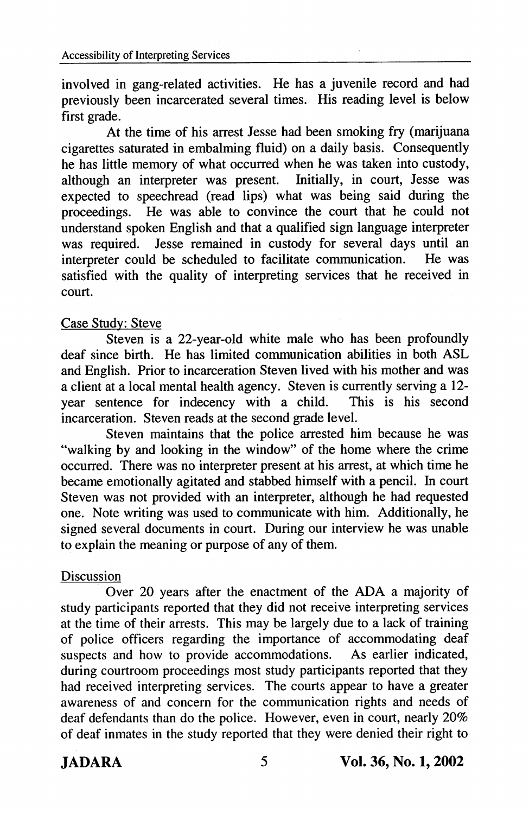involved in gang-related activities. He has a juvenile record and had previously been incarcerated several times. His reading level is below first grade.

At the time of his arrest Jesse had been smoking fry (marijuana cigarettes saturated in embalming fluid) on a daily basis. Consequently he has little memory of what occurred when he was taken into custody, although an interpreter was present. Initially, in court, Jesse was expected to speechread (read lips) what was being said during the proceedings. He was able to convince the court that he could not understand spoken English and that a qualified sign language interpreter was required. Jesse remained in custody for several days until an interpreter could be scheduled to facilitate communication. He was interpreter could be scheduled to facilitate communication. satisfied with the quality of interpreting services that he received in court.

# Case Studv: Steve

Steven is a 22-year-old white male who has been profoundly deaf since birth. He has limited communication abilities in both ASL and English. Prior to incarceration Steven lived with his mother and was a client at a local mental health agency. Steven is currently serving a 12 year sentence for indecency with a child. This is his second incarceration. Steven reads at the second grade level.

Steven maintains that the police arrested him because he was "walking by and looking in the window" of the home where the crime occurred. There was no interpreter present at his arrest, at which time he became emotionally agitated and stabbed himself with a pencil. In court Steven was not provided with an interpreter, although he had requested one. Note writing was used to communicate with him. Additionally, he signed several documents in court. During our interview he was unable to explain the meaning or purpose of any of them.

# Discussion

Over 20 years after the enactment of the ADA a majority of study participants reported that they did not receive interpreting services at the time of their arrests. This may be largely due to a lack of training of police officers regarding the importance of accommodating deaf<br>suspects and how to provide accommodations. As earlier indicated. suspects and how to provide accommodations. during courtroom proceedings most study participants reported that they had received interpreting services. The courts appear to have a greater awareness of and concern for the communication rights and needs of deaf defendants than do the police. However, even in court, nearly 20% of deaf inmates in the study reported that they were denied their right to

JADARA 5 Vol. 36, No. 1,2002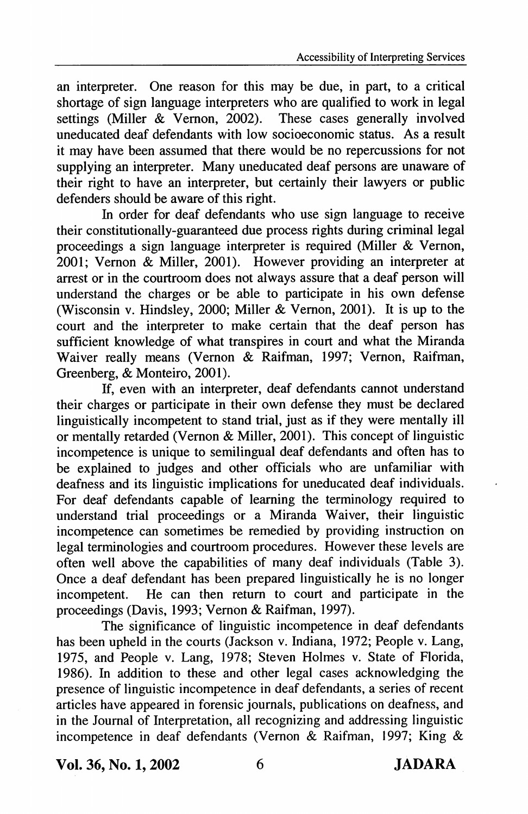an interpreter. One reason for this may be due, in part, to a critical shortage of sign language interpreters who are qualified to work in legal settings (Miller & Vernon, 2002). These cases generally involved uneducated deaf defendants with low socioeconomic status. As a result it may have been assumed that there would be no repercussions for not supplying an interpreter. Many uneducated deaf persons are unaware of their right to have an interpreter, but certainly their lawyers or public defenders should be aware of this right.

In order for deaf defendants who use sign language to receive their constitutionally-guaranteed due process rights during criminal legal proceedings a sign language interpreter is required (Miller & Vernon, 2001; Vemon & Miller, 2001). However providing an interpreter at arrest or in the courtroom does not always assure that a deaf person will understand the charges or be able to participate in his own defense (Wisconsin v. Hindsley, 2000; Miller & Vemon, 2001). It is up to the court and the interpreter to make certain that the deaf person has sufficient knowledge of what transpires in court and what the Miranda Waiver really means (Vernon & Raifman, 1997; Vernon, Raifman, Greenberg, & Monteiro, 2001).

If, even with an interpreter, deaf defendants cannot understand their charges or participate in their own defense they must be declared linguistically incompetent to stand trial, just as if they were mentally ill or mentally retarded (Vernon & Miller, 2001). This concept of linguistic incompetence is unique to semilingual deaf defendants and often has to be explained to judges and other officials who are unfamiliar with deafness and its linguistic implications for uneducated deaf individuals. For deaf defendants capable of leaming the terminology required to understand trial proceedings or a Miranda Waiver, their linguistic incompetence can sometimes be remedied by providing instruction on legal terminologies and courtroom procedures. However these levels are often well above the capabilities of many deaf individuals (Table 3). Once a deaf defendant has been prepared linguistically he is no longer incompetent. He can then return to court and participate in the He can then return to court and participate in the proceedings (Davis, 1993; Vernon & Raifman, 1997).

The significance of linguistic incompetence in deaf defendants has been upheld in the courts (Jackson v. Indiana, 1972; People v. Lang, 1975, and People v. Lang, 1978; Steven Holmes v. State of Florida, 1986). In addition to these and other legal cases acknowledging the presence of linguistic incompetence in deaf defendants, a series of recent articles have appeared in forensic journals, publications on deafness, and in the Journal of Interpretation, all recognizing and addressing linguistic incompetence in deaf defendants (Vernon & Raifman, 1997; King &

Vol. 36, No. 1,2002 6 JADARA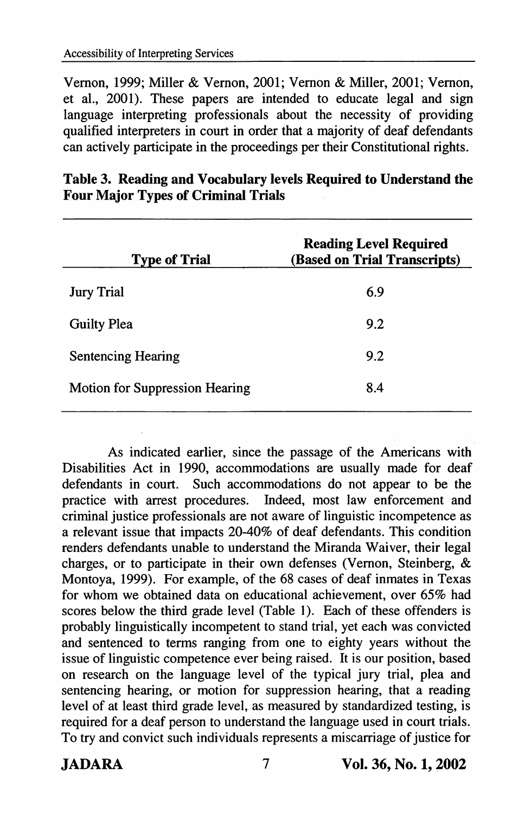Vemon, 1999; Miller & Vemon, 2001; Vemon & Miller, 2001; Vemon, et al., 2001). These papers are intended to educate legal and sign language interpreting professionals about the necessity of providing qualified interpreters in court in order that a majority of deaf defendants can actively participate in the proceedings per their Constitutional rights.

| <b>Type of Trial</b>           | <b>Reading Level Required</b><br>(Based on Trial Transcripts) |
|--------------------------------|---------------------------------------------------------------|
| <b>Jury Trial</b>              | 6.9                                                           |
| <b>Guilty Plea</b>             | 9.2                                                           |
| <b>Sentencing Hearing</b>      | 9.2                                                           |
| Motion for Suppression Hearing | 8.4                                                           |
|                                |                                                               |

| Table 3. Reading and Vocabulary levels Required to Understand the |  |  |
|-------------------------------------------------------------------|--|--|
| <b>Four Major Types of Criminal Trials</b>                        |  |  |

As indicated earlier, since the passage of the Americans with Disabilities Act in 1990, accommodations are usually made for deaf defendants in court. Such accommodations do not appear to be the practice with arrest procedures. Indeed, most law enforcement and criminal justice professionals are not aware of linguistic incompetence as a relevant issue that impacts 20-40% of deaf defendants. This condition renders defendants unable to understand the Miranda Waiver, their legal charges, or to participate in their own defenses (Vemon, Steinberg, & Montoya, 1999). For example, of the 68 cases of deaf inmates in Texas for whom we obtained data on educational achievement, over 65% had scores below the third grade level (Table 1). Each of these offenders is probably linguistically incompetent to stand trial, yet each was convicted and sentenced to terms ranging from one to eighty years without the issue of linguistic competence ever being raised. It is our position, based on research on the language level of the typical jury trial, plea and sentencing hearing, or motion for suppression hearing, that a reading level of at least third grade level, as measured by standardized testing, is required for a deaf person to understand the language used in court trials. To try and convict such individuals represents a miscarriage of justice for

JADARA 7 Vol. 36, No. 1,2002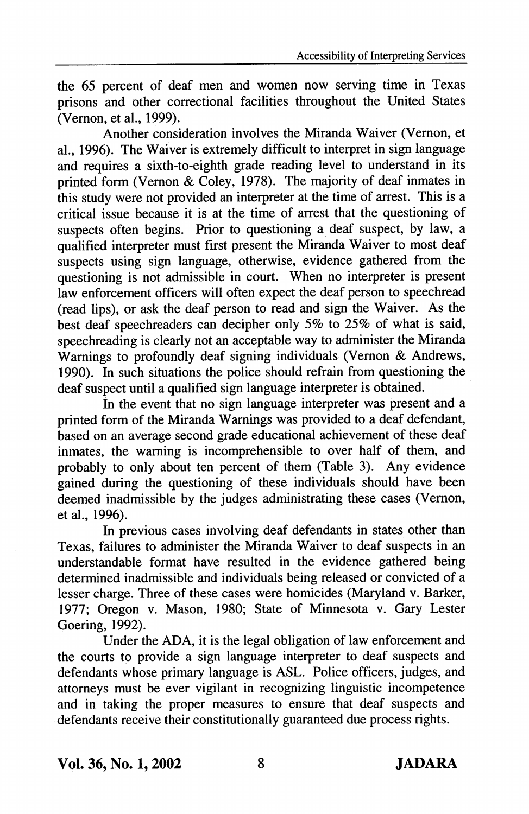the 65 percent of deaf men and women now serving time in Texas prisons and other correctional facilities throughout the United States (Vemon, et al., 1999).

Another consideration involves the Miranda Waiver (Vemon, et al., 1996). The Waiver is extremely difficult to interpret in sign language and requires a sixth-to-eighth grade reading level to understand in its printed form (Vemon & Coley, 1978). The majority of deaf inmates in this study were not provided an interpreter at the time of arrest. This is a critical issue because it is at the time of arrest that the questioning of suspects often begins. Prior to questioning a deaf suspect, by law, a qualified interpreter must first present the Miranda Waiver to most deaf suspects using sign language, otherwise, evidence gathered from the questioning is not admissible in court. When no interpreter is present law enforcement officers will often expect the deaf person to speechread (read lips), or ask the deaf person to read and sign the Waiver. As the best deaf speechreaders can decipher only 5% to 25% of what is said, speechreading is clearly not an acceptable way to administer the Miranda Warnings to profoundly deaf signing individuals (Vernon & Andrews, 1990). In such situations the police should refrain from questioning the deaf suspect until a qualified sign language interpreter is obtained.

in the event that no sign language interpreter was present and a printed form of the Miranda Wamings was provided to a deaf defendant, based on an average second grade educational achievement of these deaf inmates, the waming is incomprehensible to over half of them, and probably to only about ten percent of them (Table 3). Any evidence gained during the questioning of these individuals should have been deemed inadmissible by the judges administrating these cases (Vemon, et al., 1996).

In previous cases involving deaf defendants in states other than Texas, failures to administer the Miranda Waiver to deaf suspects in an understandable format have resulted in the evidence gathered being determined inadmissible and individuals being released or convicted of a lesser charge. Three of these cases were homicides (Maryland v. Barker, 1977; Oregon v. Mason, 1980; State of Minnesota v. Gary Lester Goering, 1992).

Under the ADA, it is the legal obligation of law enforcement and the courts to provide a sign language interpreter to deaf suspects and defendants whose primary language is ASL. Police officers, judges, and attorneys must be ever vigilant in recognizing linguistic incompetence and in taking the proper measures to ensure that deaf suspects and defendants receive their constitutionally guaranteed due process rights.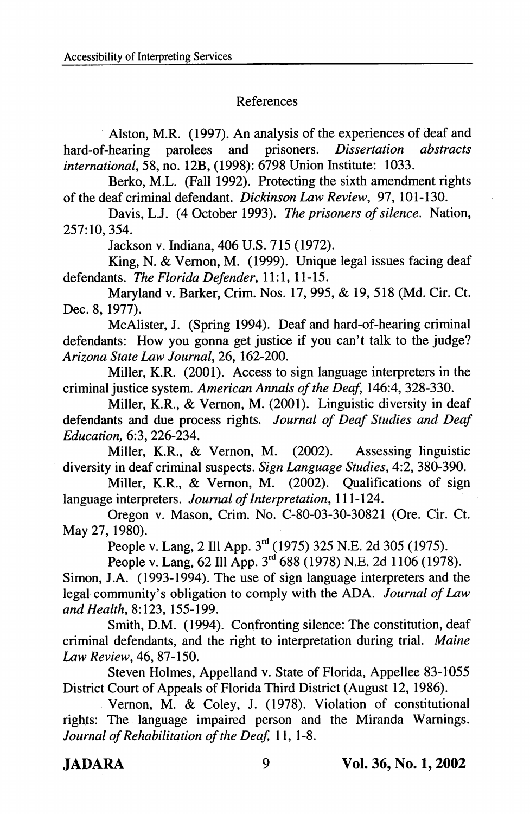## References

Alston, M.R. (1997). An analysis of the experiences of deaf and<br>hearing parolees and prisoners. *Dissertation abstracts* hard-of-hearing parolees international, 58, no. 12B, (1998): 6798 Union Institute: 1033.

Berko, M.L. (Fall 1992). Protecting the sixth amendment rights of the deaf criminal defendant. Dickinson Law Review, 97, 101-130.

Davis, L.J. (4 October 1993). The prisoners of silence. Nation, 257:10, 354.

Jackson v. Indiana, 406 U.S. 715 (1972).

King, N. & Vemon, M. (1999). Unique legal issues facing deaf defendants. The Florida Defender, 11:1, 11-15.

Maryland v. Barker, Crim. Nos. 17, 995, & 19, 518 (Md. Cir. Ct. Dec. 8, 1977).

McAlister, J. (Spring 1994). Deaf and hard-of-hearing criminal defendants: How you gonna get justice if you can't talk to the judge? Arizona State Law Journal, 26, 162-200.

Miller, K.R. (2001). Access to sign language interpreters in the criminal justice system. American Annals of the Deaf, 146:4, 328-330.

Miller, K.R., & Vemon, M. (2001). Linguistic diversity in deaf defendants and due process rights. Journal of Deaf Studies and Deaf Education, 6:3,226-234.

Miller, K.R., & Vernon, M. (2002). Assessing linguistic diversity in deaf criminal suspects. Sign Language Studies, 4:2, 380-390.

Miller, K.R., & Vemon, M. (2002). Qualifications of sign language interpreters. Journal of Interpretation, 111-124.

Oregon v. Mason, Crim. No. C-80-03-30-30821 (Ore. Cir. Ct. May 27,1980).

People v. Lang, 2 Ill App. 3<sup>rd</sup> (1975) 325 N.E. 2d 305 (1975).

People v. Lang, 62 Ill App. 3<sup>rd</sup> 688 (1978) N.E. 2d 1106 (1978).

Simon, J.A. (1993-1994). The use of sign language interpreters and the legal community's obligation to comply with the ADA. Journal of Law and Health, 8:123, 155-199.

Smith, D.M. (1994). Confronting silence: The constitution, deaf criminal defendants, and the right to interpretation during trial. Maine Law Review, 46, 87-150.

Steven Holmes, Appelland v. State of Florida, Appellee 83-1055 District Court of Appeals of Florida Third District (August 12, 1986).

Vernon, M. & Coley, J. (1978). Violation of constitutional rights: The language impaired person and the Miranda Wamings. Journal of Rehabilitation of the Deaf, 11, 1-8.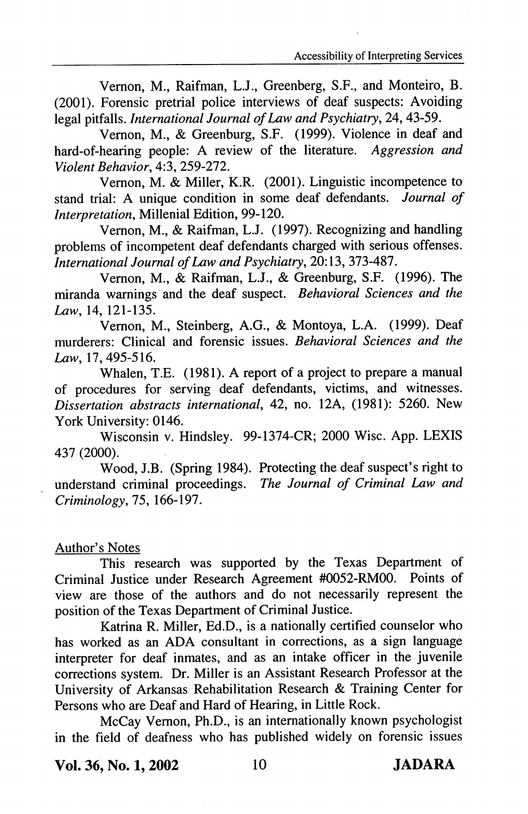Yemon, M., Raifman, L.J., Greenberg, S.F., and Monteiro, B. (2001). Forensic pretrial police interviews of deaf suspects: Avoiding legal pitfalls. International Journal of Law and Psychiatry, 24, 43-59.

Yemon, M., & Greenburg, S.F. (1999). Yiolence in deaf and hard-of-hearing people: A review of the literature. Aggression and Violent Behavior, 4:3,259-272.

Yemon, M. & Miller, K.R. (2001). Linguistic incompetence to stand trial: A unique condition in some deaf defendants. Journal of Interpretation, Millenial Edition, 99-120.

Yemon, M., & Raifman, L.J. (1997). Recognizing and handling problems of incompetent deaf defendants charged with serious offenses. International Journal of Law and Psychiatry, 20:13, 373-4S1.

Yemon, M., & Raifman, L.J., & Greenburg, S.F. (1996). The miranda wamings and the deaf suspect. Behavioral Sciences and the Law, 14, 121-135.

Yemon, M., Steinberg, A.G., & Montoya, L.A. (1999). Deaf murderers: Clinical and forensic issues. Behavioral Sciences and the Law, 17,495-516.

Whalen, T.E. (1981). A report of a project to prepare a manual of procedures for serving deaf defendants, victims, and witnesses. Dissertation abstracts international, 42, no. 12A, (1981): 5260. New York University: 0146.

Wisconsin v. Hindsley. 99-1374-CR; 2000 Wise. App. LEXIS 437 (2000).

Wood, J.B. (Spring 1984). Protecting the deaf suspect's right to understand criminal proceedings. The Journal of Criminal Law and Criminology, 75, 166-197.

## Author's Notes

This research was supported by the Texas Department of Criminal Justice under Research Agreement #0052-RM00. Points of view are those of the authors and do not necessarily represent the position of the Texas Department of Criminal Justice.

Katrina R. Miller, Ed.D., is a nationally certified counselor who has worked as an ADA consultant in corrections, as a sign language interpreter for deaf inmates, and as an intake officer in the juvenile corrections system. Dr. Miller is an Assistant Research Professor at the University of Arkansas Rehabilitation Research & Training Center for Persons who are Deaf and Hard of Hearing, in Little Rock.

McCay Yemon, Ph.D., is an intemationally known psychologist in the field of deafness who has published widely on forensic issues

Vol. 36, No. 1,2002 10 JADARA